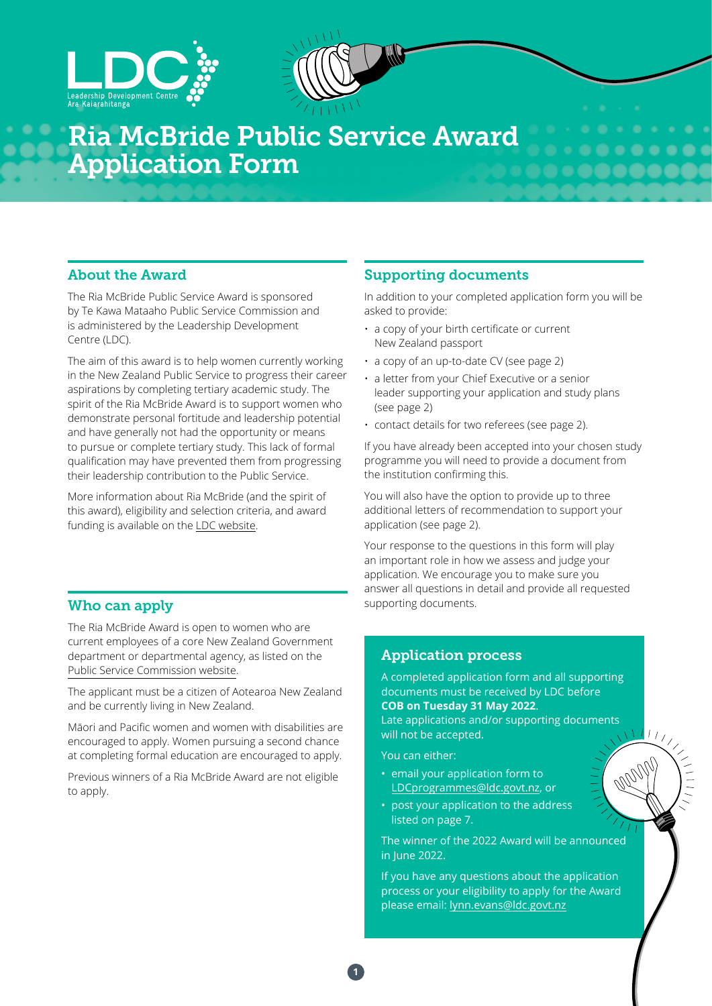



# Ria McBride Public Service Award Application Form

### About the Award

The Ria McBride Public Service Award is sponsored by Te Kawa Mataaho Public Service Commission and is administered by the Leadership Development Centre (LDC).

The aim of this award is to help women currently working in the New Zealand Public Service to progress their career aspirations by completing tertiary academic study. The spirit of the Ria McBride Award is to support women who demonstrate personal fortitude and leadership potential and have generally not had the opportunity or means to pursue or complete tertiary study. This lack of formal qualification may have prevented them from progressing their leadership contribution to the Public Service.

More information about Ria McBride (and the spirit of this award), eligibility and selection criteria, and award funding is available on the [LDC website.](https://www.ldc.govt.nz/programmes-and-events/ria-mcbride-public-service-award/)

### Who can apply supporting documents.

The Ria McBride Award is open to women who are current employees of a core New Zealand Government department or departmental agency, as listed on the [Public Service Commission website](https://www.publicservice.govt.nz/our-work/state-sector-organisations/).

The applicant must be a citizen of Aotearoa New Zealand and be currently living in New Zealand.

Māori and Pacific women and women with disabilities are encouraged to apply. Women pursuing a second chance at completing formal education are encouraged to apply.

Previous winners of a Ria McBride Award are not eligible to apply.

### Supporting documents

In addition to your completed application form you will be asked to provide:

- a copy of your birth certificate or current New Zealand passport
- a copy of an up-to-date CV (see page 2)
- a letter from your Chief Executive or a senior leader supporting your application and study plans (see page 2)
- contact details for two referees (see page 2).

If you have already been accepted into your chosen study programme you will need to provide a document from the institution confirming this.

You will also have the option to provide up to three additional letters of recommendation to support your application (see page 2).

Your response to the questions in this form will play an important role in how we assess and judge your application. We encourage you to make sure you answer all questions in detail and provide all requested

### Application process

A completed application form and all supporting documents must be received by LDC before **COB on Tuesday 31 May 2022**.

Late applications and/or supporting documents will not be accepted.

 $1/\sqrt{2}$ 

You can either:

- email your application form to LDCprogrammes[@ldc.govt.nz](mailto:LDCprogrammes%40ldc.govt.nz?subject=RiaMcBride), or
- post your application to the address listed on page 7.

The winner of the 2022 Award will be announced in June 2022.

If you have any questions about the application process or your eligibility to apply for the Award please email: lynn.evans[@ldc.govt.nz](mailto:lynn.evans%40ldc.govt.nz?subject=RiaMcBride)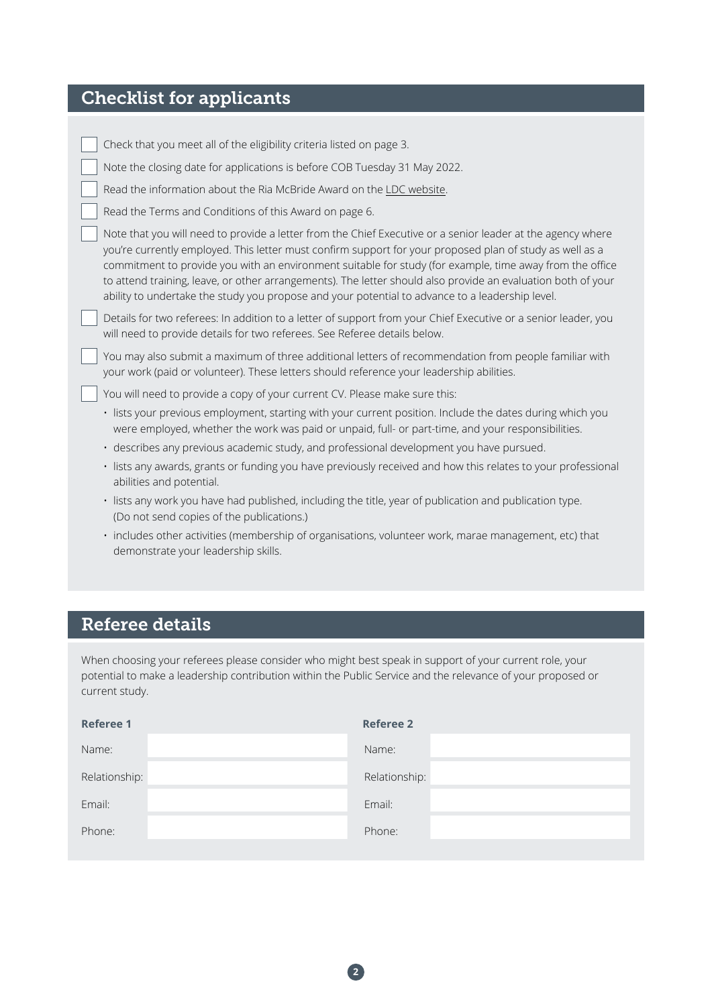## Checklist for applicants

| Check that you meet all of the eligibility criteria listed on page 3.                                                                                                                                                                                                                                                                                                                                                                                                                                                                                  |
|--------------------------------------------------------------------------------------------------------------------------------------------------------------------------------------------------------------------------------------------------------------------------------------------------------------------------------------------------------------------------------------------------------------------------------------------------------------------------------------------------------------------------------------------------------|
| Note the closing date for applications is before COB Tuesday 31 May 2022.                                                                                                                                                                                                                                                                                                                                                                                                                                                                              |
| Read the information about the Ria McBride Award on the LDC website.                                                                                                                                                                                                                                                                                                                                                                                                                                                                                   |
| Read the Terms and Conditions of this Award on page 6.                                                                                                                                                                                                                                                                                                                                                                                                                                                                                                 |
| Note that you will need to provide a letter from the Chief Executive or a senior leader at the agency where<br>you're currently employed. This letter must confirm support for your proposed plan of study as well as a<br>commitment to provide you with an environment suitable for study (for example, time away from the office<br>to attend training, leave, or other arrangements). The letter should also provide an evaluation both of your<br>ability to undertake the study you propose and your potential to advance to a leadership level. |
| Details for two referees: In addition to a letter of support from your Chief Executive or a senior leader, you<br>will need to provide details for two referees. See Referee details below.                                                                                                                                                                                                                                                                                                                                                            |
| You may also submit a maximum of three additional letters of recommendation from people familiar with<br>your work (paid or volunteer). These letters should reference your leadership abilities.                                                                                                                                                                                                                                                                                                                                                      |
| You will need to provide a copy of your current CV. Please make sure this:                                                                                                                                                                                                                                                                                                                                                                                                                                                                             |
| · lists your previous employment, starting with your current position. Include the dates during which you<br>were employed, whether the work was paid or unpaid, full- or part-time, and your responsibilities.                                                                                                                                                                                                                                                                                                                                        |
| · describes any previous academic study, and professional development you have pursued.                                                                                                                                                                                                                                                                                                                                                                                                                                                                |
| · lists any awards, grants or funding you have previously received and how this relates to your professional<br>abilities and potential.                                                                                                                                                                                                                                                                                                                                                                                                               |
| · lists any work you have had published, including the title, year of publication and publication type.<br>(Do not send copies of the publications.)                                                                                                                                                                                                                                                                                                                                                                                                   |
| $\mathcal{A} = \mathcal{A} + \mathcal{A} + \mathcal{A} + \mathcal{A} + \mathcal{A} + \mathcal{A} + \mathcal{A} + \mathcal{A} + \mathcal{A} + \mathcal{A} + \mathcal{A} + \mathcal{A} + \mathcal{A} + \mathcal{A} + \mathcal{A} + \mathcal{A} + \mathcal{A} + \mathcal{A} + \mathcal{A} + \mathcal{A} + \mathcal{A} + \mathcal{A} + \mathcal{A} + \mathcal{A} + \mathcal{A} + \mathcal{A} + \mathcal{A} + \mathcal{A} + \mathcal{A} + \mathcal{A} + \mathcal$                                                                                           |

• includes other activities (membership of organisations, volunteer work, marae management, etc) that demonstrate your leadership skills.

### Referee details

When choosing your referees please consider who might best speak in support of your current role, your potential to make a leadership contribution within the Public Service and the relevance of your proposed or current study.

| <b>Referee 1</b> | <b>Referee 2</b> |
|------------------|------------------|
| Name:            | Name:            |
| Relationship:    | Relationship:    |
| Email:           | Email:           |
| Phone:           | Phone:           |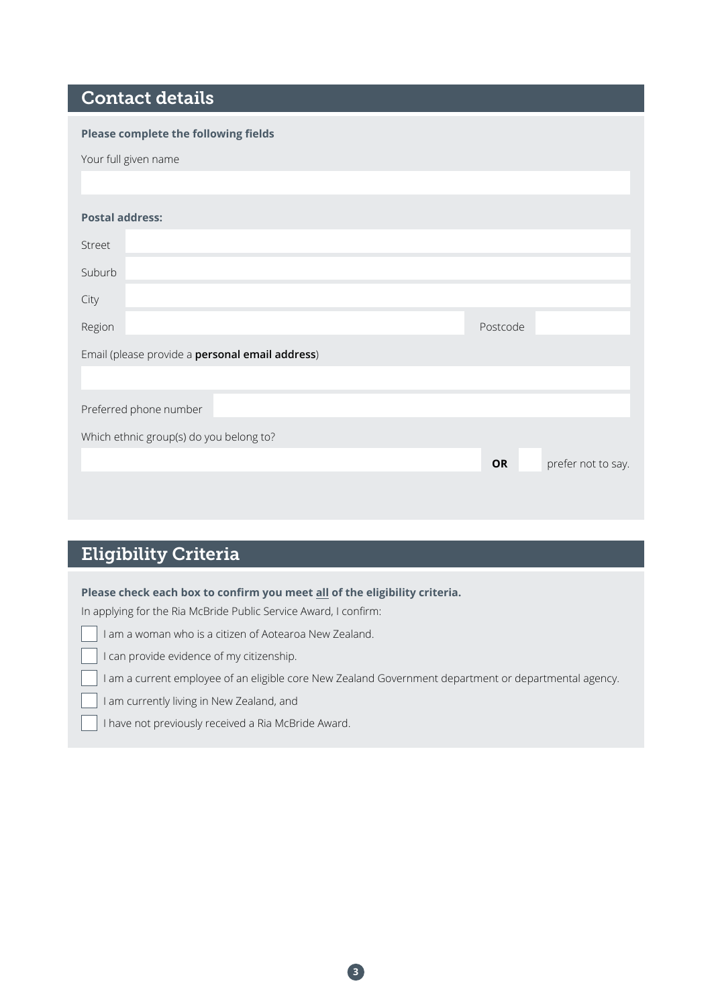### Contact details

| Postcode |                    |
|----------|--------------------|
|          |                    |
|          |                    |
|          |                    |
|          |                    |
| OR       | prefer not to say. |
|          |                    |
|          |                    |

## Eligibility Criteria

### **Please check each box to confirm you meet all of the eligibility criteria.**

In applying for the Ria McBride Public Service Award, I confirm:

|  |  | I can provide evidence of my citizenship. |
|--|--|-------------------------------------------|
|  |  |                                           |
|  |  |                                           |

I am a current employee of an eligible core New Zealand Government department or departmental agency.

**3**

I am currently living in New Zealand, and

I have not previously received a Ria McBride Award.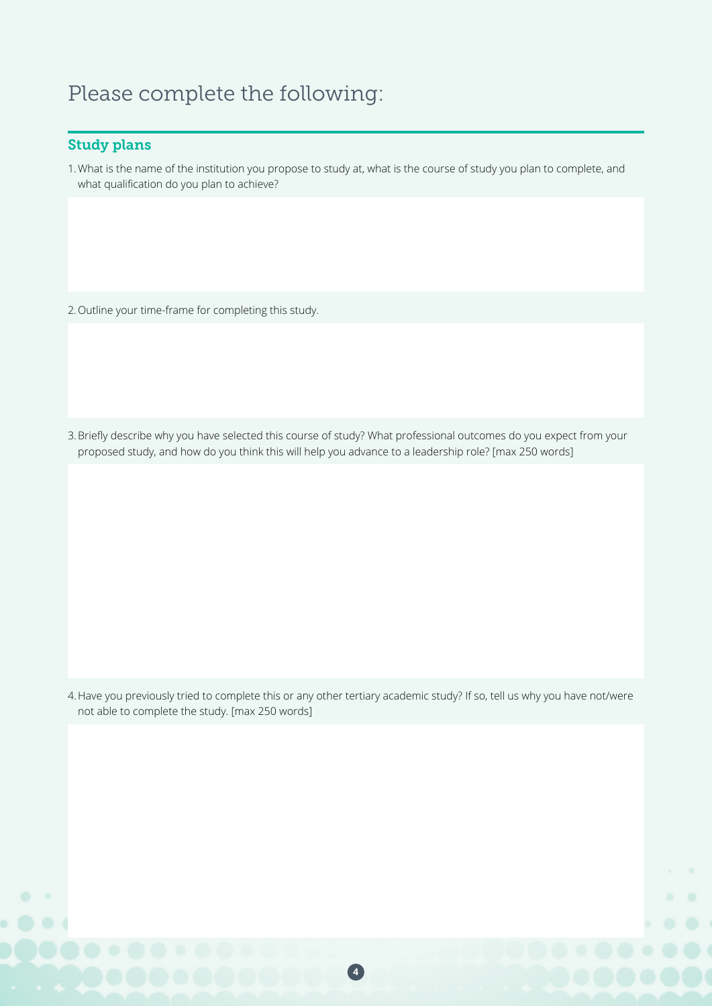## Please complete the following:

### Study plans

1.What is the name of the institution you propose to study at, what is the course of study you plan to complete, and what qualification do you plan to achieve?

2.Outline your time-frame for completing this study.

3.Briefly describe why you have selected this course of study? What professional outcomes do you expect from your proposed study, and how do you think this will help you advance to a leadership role? [max 250 words]

4.Have you previously tried to complete this or any other tertiary academic study? If so, tell us why you have not/were not able to complete the study. [max 250 words]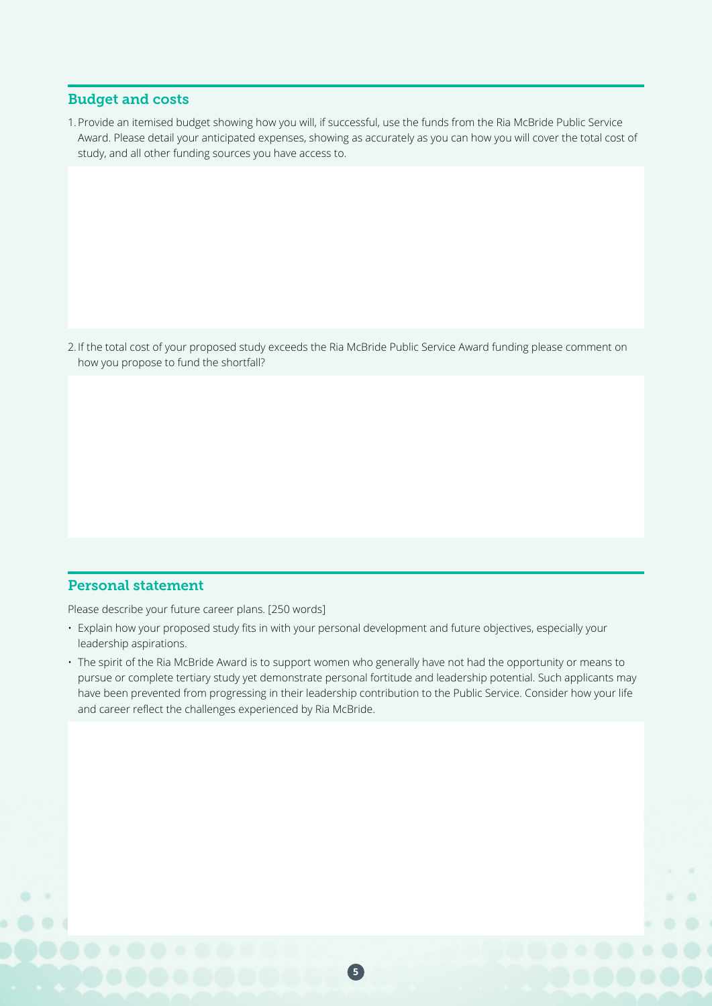### Budget and costs

1.Provide an itemised budget showing how you will, if successful, use the funds from the Ria McBride Public Service Award. Please detail your anticipated expenses, showing as accurately as you can how you will cover the total cost of study, and all other funding sources you have access to.

2. If the total cost of your proposed study exceeds the Ria McBride Public Service Award funding please comment on how you propose to fund the shortfall?

### Personal statement

Please describe your future career plans. [250 words]

- Explain how your proposed study fits in with your personal development and future objectives, especially your leadership aspirations.
- The spirit of the Ria McBride Award is to support women who generally have not had the opportunity or means to pursue or complete tertiary study yet demonstrate personal fortitude and leadership potential. Such applicants may have been prevented from progressing in their leadership contribution to the Public Service. Consider how your life and career reflect the challenges experienced by Ria McBride.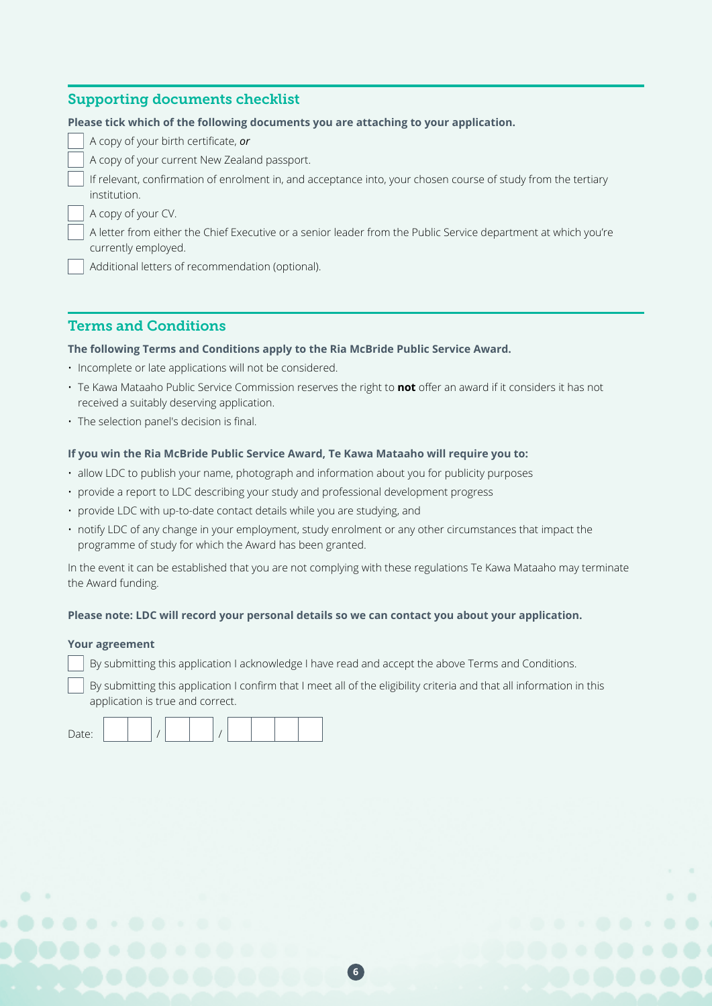### Supporting documents checklist

A copy of your birth certificate, *or*

A copy of your current New Zealand passport.

If relevant, confirmation of enrolment in, and acceptance into, your chosen course of study from the tertiary institution.

A copy of your CV.

A letter from either the Chief Executive or a senior leader from the Public Service department at which you're currently employed.

Additional letters of recommendation (optional).

### Terms and Conditions

### **The following Terms and Conditions apply to the Ria McBride Public Service Award.**

- Incomplete or late applications will not be considered.
- Te Kawa Mataaho Public Service Commission reserves the right to **not** offer an award if it considers it has not received a suitably deserving application.
- The selection panel's decision is final.

### **If you win the Ria McBride Public Service Award, Te Kawa Mataaho will require you to:**

- allow LDC to publish your name, photograph and information about you for publicity purposes
- provide a report to LDC describing your study and professional development progress
- provide LDC with up-to-date contact details while you are studying, and
- notify LDC of any change in your employment, study enrolment or any other circumstances that impact the programme of study for which the Award has been granted.

In the event it can be established that you are not complying with these regulations Te Kawa Mataaho may terminate the Award funding.

### **Please note: LDC will record your personal details so we can contact you about your application.**

### **Your agreement**

By submitting this application I acknowledge I have read and accept the above Terms and Conditions.

By submitting this application I confirm that I meet all of the eligibility criteria and that all information in this application is true and correct.

| . |
|---|
|---|